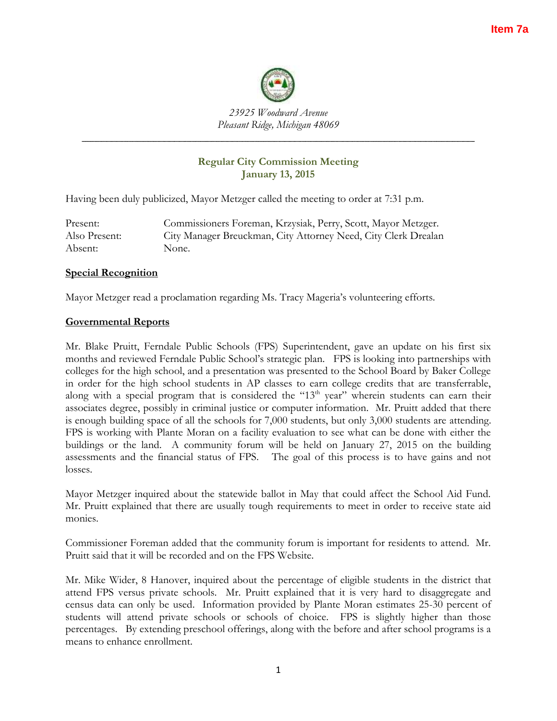

*23925 Woodward Avenue Pleasant Ridge, Michigan 48069*

*\_\_\_\_\_\_\_\_\_\_\_\_\_\_\_\_\_\_\_\_\_\_\_\_\_\_\_\_\_\_\_\_\_\_\_\_\_\_\_\_\_\_\_\_\_\_\_\_\_\_\_\_\_\_\_\_\_\_\_\_\_\_\_\_\_\_\_\_\_\_\_\_*

# **Regular City Commission Meeting January 13, 2015**

Having been duly publicized, Mayor Metzger called the meeting to order at 7:31 p.m.

Present: Commissioners Foreman, Krzysiak, Perry, Scott, Mayor Metzger. Also Present: City Manager Breuckman, City Attorney Need, City Clerk Drealan Absent: None.

# **Special Recognition**

Mayor Metzger read a proclamation regarding Ms. Tracy Mageria's volunteering efforts.

## **Governmental Reports**

Mr. Blake Pruitt, Ferndale Public Schools (FPS) Superintendent, gave an update on his first six months and reviewed Ferndale Public School's strategic plan. FPS is looking into partnerships with colleges for the high school, and a presentation was presented to the School Board by Baker College in order for the high school students in AP classes to earn college credits that are transferrable, along with a special program that is considered the " $13<sup>th</sup>$  year" wherein students can earn their associates degree, possibly in criminal justice or computer information. Mr. Pruitt added that there is enough building space of all the schools for 7,000 students, but only 3,000 students are attending. FPS is working with Plante Moran on a facility evaluation to see what can be done with either the buildings or the land. A community forum will be held on January 27, 2015 on the building assessments and the financial status of FPS. The goal of this process is to have gains and not losses.

Mayor Metzger inquired about the statewide ballot in May that could affect the School Aid Fund. Mr. Pruitt explained that there are usually tough requirements to meet in order to receive state aid monies.

Commissioner Foreman added that the community forum is important for residents to attend. Mr. Pruitt said that it will be recorded and on the FPS Website.

Mr. Mike Wider, 8 Hanover, inquired about the percentage of eligible students in the district that attend FPS versus private schools. Mr. Pruitt explained that it is very hard to disaggregate and census data can only be used. Information provided by Plante Moran estimates 25-30 percent of students will attend private schools or schools of choice. FPS is slightly higher than those percentages. By extending preschool offerings, along with the before and after school programs is a means to enhance enrollment.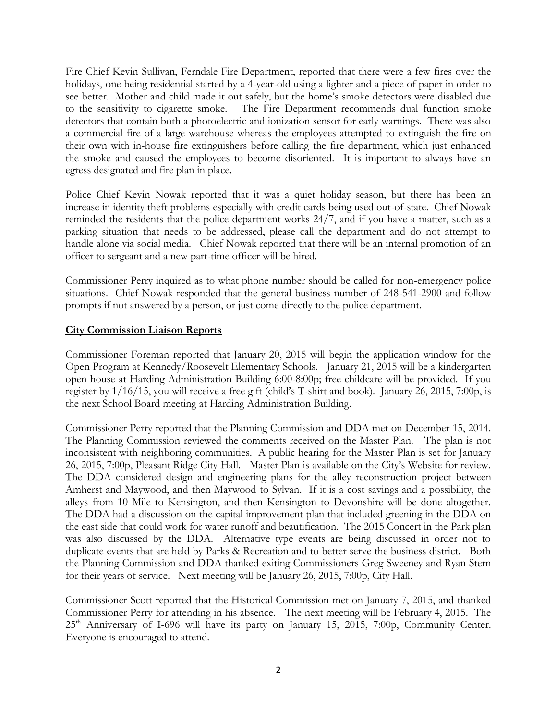Fire Chief Kevin Sullivan, Ferndale Fire Department, reported that there were a few fires over the holidays, one being residential started by a 4-year-old using a lighter and a piece of paper in order to see better. Mother and child made it out safely, but the home's smoke detectors were disabled due to the sensitivity to cigarette smoke. The Fire Department recommends dual function smoke detectors that contain both a photoelectric and ionization sensor for early warnings. There was also a commercial fire of a large warehouse whereas the employees attempted to extinguish the fire on their own with in-house fire extinguishers before calling the fire department, which just enhanced the smoke and caused the employees to become disoriented. It is important to always have an egress designated and fire plan in place.

Police Chief Kevin Nowak reported that it was a quiet holiday season, but there has been an increase in identity theft problems especially with credit cards being used out-of-state. Chief Nowak reminded the residents that the police department works 24/7, and if you have a matter, such as a parking situation that needs to be addressed, please call the department and do not attempt to handle alone via social media. Chief Nowak reported that there will be an internal promotion of an officer to sergeant and a new part-time officer will be hired.

Commissioner Perry inquired as to what phone number should be called for non-emergency police situations. Chief Nowak responded that the general business number of 248-541-2900 and follow prompts if not answered by a person, or just come directly to the police department.

# **City Commission Liaison Reports**

Commissioner Foreman reported that January 20, 2015 will begin the application window for the Open Program at Kennedy/Roosevelt Elementary Schools. January 21, 2015 will be a kindergarten open house at Harding Administration Building 6:00-8:00p; free childcare will be provided. If you register by 1/16/15, you will receive a free gift (child's T-shirt and book). January 26, 2015, 7:00p, is the next School Board meeting at Harding Administration Building.

Commissioner Perry reported that the Planning Commission and DDA met on December 15, 2014. The Planning Commission reviewed the comments received on the Master Plan. The plan is not inconsistent with neighboring communities. A public hearing for the Master Plan is set for January 26, 2015, 7:00p, Pleasant Ridge City Hall. Master Plan is available on the City's Website for review. The DDA considered design and engineering plans for the alley reconstruction project between Amherst and Maywood, and then Maywood to Sylvan. If it is a cost savings and a possibility, the alleys from 10 Mile to Kensington, and then Kensington to Devonshire will be done altogether. The DDA had a discussion on the capital improvement plan that included greening in the DDA on the east side that could work for water runoff and beautification. The 2015 Concert in the Park plan was also discussed by the DDA. Alternative type events are being discussed in order not to duplicate events that are held by Parks & Recreation and to better serve the business district. Both the Planning Commission and DDA thanked exiting Commissioners Greg Sweeney and Ryan Stern for their years of service. Next meeting will be January 26, 2015, 7:00p, City Hall.

Commissioner Scott reported that the Historical Commission met on January 7, 2015, and thanked Commissioner Perry for attending in his absence. The next meeting will be February 4, 2015. The 25<sup>th</sup> Anniversary of I-696 will have its party on January 15, 2015, 7:00p, Community Center. Everyone is encouraged to attend.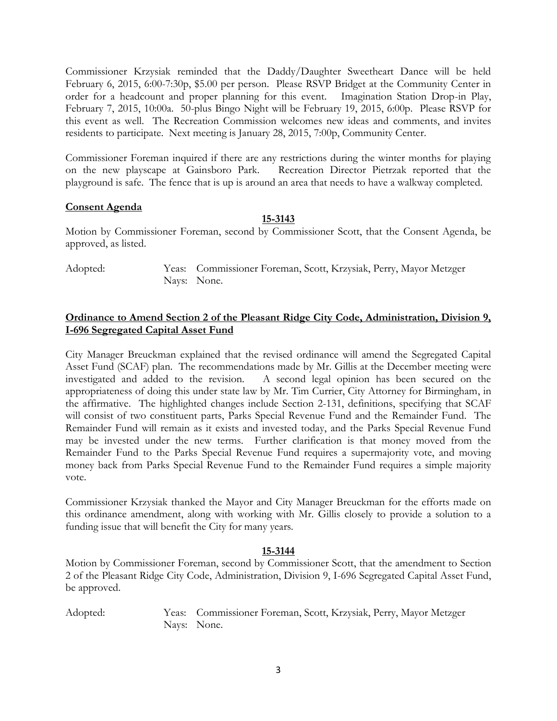Commissioner Krzysiak reminded that the Daddy/Daughter Sweetheart Dance will be held February 6, 2015, 6:00-7:30p, \$5.00 per person. Please RSVP Bridget at the Community Center in order for a headcount and proper planning for this event. Imagination Station Drop-in Play, February 7, 2015, 10:00a. 50-plus Bingo Night will be February 19, 2015, 6:00p. Please RSVP for this event as well. The Recreation Commission welcomes new ideas and comments, and invites residents to participate. Next meeting is January 28, 2015, 7:00p, Community Center.

Commissioner Foreman inquired if there are any restrictions during the winter months for playing on the new playscape at Gainsboro Park. Recreation Director Pietrzak reported that the playground is safe. The fence that is up is around an area that needs to have a walkway completed.

## **Consent Agenda**

## **15-3143**

Motion by Commissioner Foreman, second by Commissioner Scott, that the Consent Agenda, be approved, as listed.

Adopted: Yeas: Commissioner Foreman, Scott, Krzysiak, Perry, Mayor Metzger Nays: None.

# **Ordinance to Amend Section 2 of the Pleasant Ridge City Code, Administration, Division 9, I-696 Segregated Capital Asset Fund**

City Manager Breuckman explained that the revised ordinance will amend the Segregated Capital Asset Fund (SCAF) plan. The recommendations made by Mr. Gillis at the December meeting were investigated and added to the revision. A second legal opinion has been secured on the appropriateness of doing this under state law by Mr. Tim Currier, City Attorney for Birmingham, in the affirmative. The highlighted changes include Section 2-131, definitions, specifying that SCAF will consist of two constituent parts, Parks Special Revenue Fund and the Remainder Fund. The Remainder Fund will remain as it exists and invested today, and the Parks Special Revenue Fund may be invested under the new terms. Further clarification is that money moved from the Remainder Fund to the Parks Special Revenue Fund requires a supermajority vote, and moving money back from Parks Special Revenue Fund to the Remainder Fund requires a simple majority vote.

Commissioner Krzysiak thanked the Mayor and City Manager Breuckman for the efforts made on this ordinance amendment, along with working with Mr. Gillis closely to provide a solution to a funding issue that will benefit the City for many years.

### **15-3144**

Motion by Commissioner Foreman, second by Commissioner Scott, that the amendment to Section 2 of the Pleasant Ridge City Code, Administration, Division 9, I-696 Segregated Capital Asset Fund, be approved.

Adopted: Yeas: Commissioner Foreman, Scott, Krzysiak, Perry, Mayor Metzger Nays: None.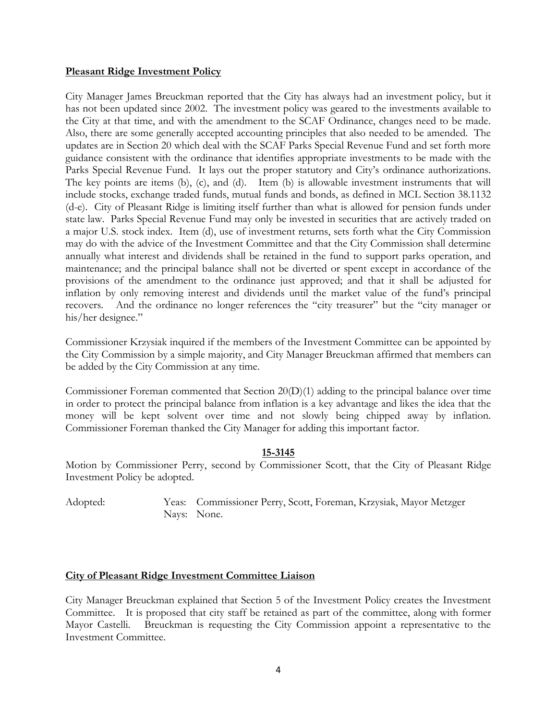### **Pleasant Ridge Investment Policy**

City Manager James Breuckman reported that the City has always had an investment policy, but it has not been updated since 2002. The investment policy was geared to the investments available to the City at that time, and with the amendment to the SCAF Ordinance, changes need to be made. Also, there are some generally accepted accounting principles that also needed to be amended. The updates are in Section 20 which deal with the SCAF Parks Special Revenue Fund and set forth more guidance consistent with the ordinance that identifies appropriate investments to be made with the Parks Special Revenue Fund. It lays out the proper statutory and City's ordinance authorizations. The key points are items (b), (c), and (d). Item (b) is allowable investment instruments that will include stocks, exchange traded funds, mutual funds and bonds, as defined in MCL Section 38.1132 (d-e). City of Pleasant Ridge is limiting itself further than what is allowed for pension funds under state law. Parks Special Revenue Fund may only be invested in securities that are actively traded on a major U.S. stock index. Item (d), use of investment returns, sets forth what the City Commission may do with the advice of the Investment Committee and that the City Commission shall determine annually what interest and dividends shall be retained in the fund to support parks operation, and maintenance; and the principal balance shall not be diverted or spent except in accordance of the provisions of the amendment to the ordinance just approved; and that it shall be adjusted for inflation by only removing interest and dividends until the market value of the fund's principal recovers. And the ordinance no longer references the "city treasurer" but the "city manager or his/her designee."

Commissioner Krzysiak inquired if the members of the Investment Committee can be appointed by the City Commission by a simple majority, and City Manager Breuckman affirmed that members can be added by the City Commission at any time.

Commissioner Foreman commented that Section 20(D)(1) adding to the principal balance over time in order to protect the principal balance from inflation is a key advantage and likes the idea that the money will be kept solvent over time and not slowly being chipped away by inflation. Commissioner Foreman thanked the City Manager for adding this important factor.

### **15-3145**

Motion by Commissioner Perry, second by Commissioner Scott, that the City of Pleasant Ridge Investment Policy be adopted.

Adopted: Yeas: Commissioner Perry, Scott, Foreman, Krzysiak, Mayor Metzger Nays: None.

### **City of Pleasant Ridge Investment Committee Liaison**

City Manager Breuckman explained that Section 5 of the Investment Policy creates the Investment Committee. It is proposed that city staff be retained as part of the committee, along with former Mayor Castelli. Breuckman is requesting the City Commission appoint a representative to the Investment Committee.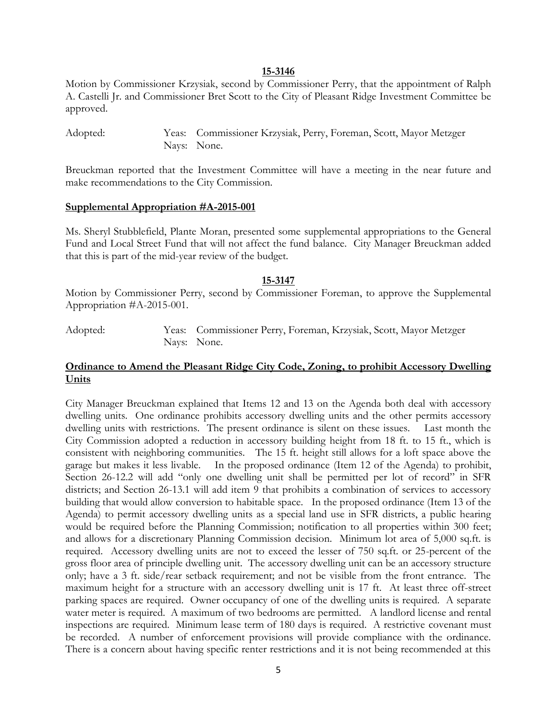#### **15-3146**

Motion by Commissioner Krzysiak, second by Commissioner Perry, that the appointment of Ralph A. Castelli Jr. and Commissioner Bret Scott to the City of Pleasant Ridge Investment Committee be approved.

Adopted: Yeas: Commissioner Krzysiak, Perry, Foreman, Scott, Mayor Metzger Nays: None.

Breuckman reported that the Investment Committee will have a meeting in the near future and make recommendations to the City Commission.

#### **Supplemental Appropriation #A-2015-001**

Ms. Sheryl Stubblefield, Plante Moran, presented some supplemental appropriations to the General Fund and Local Street Fund that will not affect the fund balance. City Manager Breuckman added that this is part of the mid-year review of the budget.

#### **15-3147**

Motion by Commissioner Perry, second by Commissioner Foreman, to approve the Supplemental Appropriation #A-2015-001.

Adopted: Yeas: Commissioner Perry, Foreman, Krzysiak, Scott, Mayor Metzger Nays: None.

## **Ordinance to Amend the Pleasant Ridge City Code, Zoning, to prohibit Accessory Dwelling Units**

City Manager Breuckman explained that Items 12 and 13 on the Agenda both deal with accessory dwelling units. One ordinance prohibits accessory dwelling units and the other permits accessory dwelling units with restrictions. The present ordinance is silent on these issues. Last month the City Commission adopted a reduction in accessory building height from 18 ft. to 15 ft., which is consistent with neighboring communities. The 15 ft. height still allows for a loft space above the garage but makes it less livable. In the proposed ordinance (Item 12 of the Agenda) to prohibit, Section 26-12.2 will add "only one dwelling unit shall be permitted per lot of record" in SFR districts; and Section 26-13.1 will add item 9 that prohibits a combination of services to accessory building that would allow conversion to habitable space. In the proposed ordinance (Item 13 of the Agenda) to permit accessory dwelling units as a special land use in SFR districts, a public hearing would be required before the Planning Commission; notification to all properties within 300 feet; and allows for a discretionary Planning Commission decision. Minimum lot area of 5,000 sq.ft. is required. Accessory dwelling units are not to exceed the lesser of 750 sq.ft. or 25-percent of the gross floor area of principle dwelling unit. The accessory dwelling unit can be an accessory structure only; have a 3 ft. side/rear setback requirement; and not be visible from the front entrance. The maximum height for a structure with an accessory dwelling unit is 17 ft. At least three off-street parking spaces are required. Owner occupancy of one of the dwelling units is required. A separate water meter is required. A maximum of two bedrooms are permitted. A landlord license and rental inspections are required. Minimum lease term of 180 days is required. A restrictive covenant must be recorded. A number of enforcement provisions will provide compliance with the ordinance. There is a concern about having specific renter restrictions and it is not being recommended at this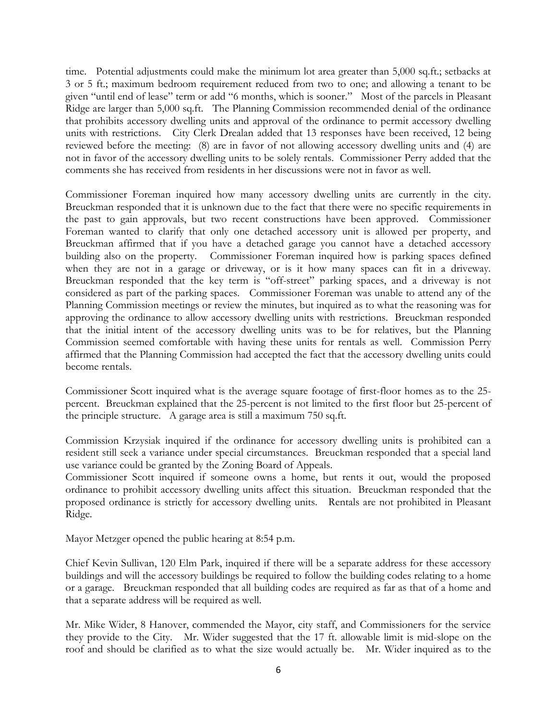time. Potential adjustments could make the minimum lot area greater than 5,000 sq.ft.; setbacks at 3 or 5 ft.; maximum bedroom requirement reduced from two to one; and allowing a tenant to be given "until end of lease" term or add "6 months, which is sooner." Most of the parcels in Pleasant Ridge are larger than 5,000 sq.ft. The Planning Commission recommended denial of the ordinance that prohibits accessory dwelling units and approval of the ordinance to permit accessory dwelling units with restrictions. City Clerk Drealan added that 13 responses have been received, 12 being reviewed before the meeting: (8) are in favor of not allowing accessory dwelling units and (4) are not in favor of the accessory dwelling units to be solely rentals. Commissioner Perry added that the comments she has received from residents in her discussions were not in favor as well.

Commissioner Foreman inquired how many accessory dwelling units are currently in the city. Breuckman responded that it is unknown due to the fact that there were no specific requirements in the past to gain approvals, but two recent constructions have been approved. Commissioner Foreman wanted to clarify that only one detached accessory unit is allowed per property, and Breuckman affirmed that if you have a detached garage you cannot have a detached accessory building also on the property. Commissioner Foreman inquired how is parking spaces defined when they are not in a garage or driveway, or is it how many spaces can fit in a driveway. Breuckman responded that the key term is "off-street" parking spaces, and a driveway is not considered as part of the parking spaces. Commissioner Foreman was unable to attend any of the Planning Commission meetings or review the minutes, but inquired as to what the reasoning was for approving the ordinance to allow accessory dwelling units with restrictions. Breuckman responded that the initial intent of the accessory dwelling units was to be for relatives, but the Planning Commission seemed comfortable with having these units for rentals as well. Commission Perry affirmed that the Planning Commission had accepted the fact that the accessory dwelling units could become rentals.

Commissioner Scott inquired what is the average square footage of first-floor homes as to the 25 percent. Breuckman explained that the 25-percent is not limited to the first floor but 25-percent of the principle structure. A garage area is still a maximum 750 sq.ft.

Commission Krzysiak inquired if the ordinance for accessory dwelling units is prohibited can a resident still seek a variance under special circumstances. Breuckman responded that a special land use variance could be granted by the Zoning Board of Appeals.

Commissioner Scott inquired if someone owns a home, but rents it out, would the proposed ordinance to prohibit accessory dwelling units affect this situation. Breuckman responded that the proposed ordinance is strictly for accessory dwelling units. Rentals are not prohibited in Pleasant Ridge.

Mayor Metzger opened the public hearing at 8:54 p.m.

Chief Kevin Sullivan, 120 Elm Park, inquired if there will be a separate address for these accessory buildings and will the accessory buildings be required to follow the building codes relating to a home or a garage. Breuckman responded that all building codes are required as far as that of a home and that a separate address will be required as well.

Mr. Mike Wider, 8 Hanover, commended the Mayor, city staff, and Commissioners for the service they provide to the City. Mr. Wider suggested that the 17 ft. allowable limit is mid-slope on the roof and should be clarified as to what the size would actually be. Mr. Wider inquired as to the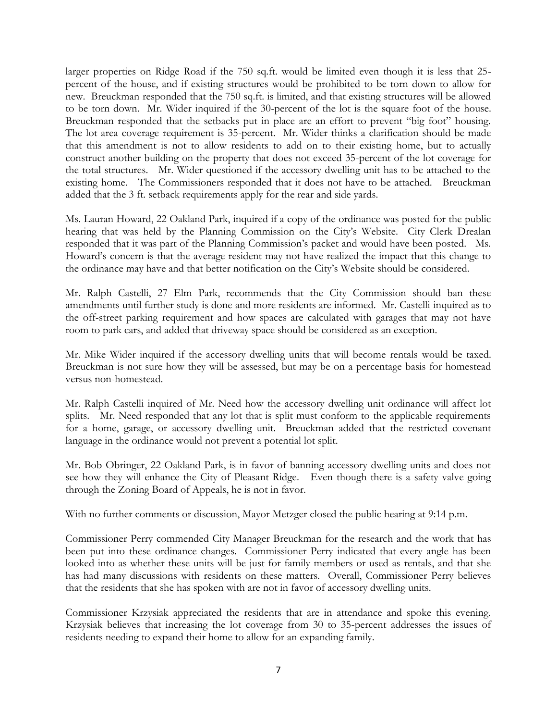larger properties on Ridge Road if the 750 sq.ft. would be limited even though it is less that 25 percent of the house, and if existing structures would be prohibited to be torn down to allow for new. Breuckman responded that the 750 sq.ft. is limited, and that existing structures will be allowed to be torn down. Mr. Wider inquired if the 30-percent of the lot is the square foot of the house. Breuckman responded that the setbacks put in place are an effort to prevent "big foot" housing. The lot area coverage requirement is 35-percent. Mr. Wider thinks a clarification should be made that this amendment is not to allow residents to add on to their existing home, but to actually construct another building on the property that does not exceed 35-percent of the lot coverage for the total structures. Mr. Wider questioned if the accessory dwelling unit has to be attached to the existing home. The Commissioners responded that it does not have to be attached. Breuckman added that the 3 ft. setback requirements apply for the rear and side yards.

Ms. Lauran Howard, 22 Oakland Park, inquired if a copy of the ordinance was posted for the public hearing that was held by the Planning Commission on the City's Website. City Clerk Drealan responded that it was part of the Planning Commission's packet and would have been posted. Ms. Howard's concern is that the average resident may not have realized the impact that this change to the ordinance may have and that better notification on the City's Website should be considered.

Mr. Ralph Castelli, 27 Elm Park, recommends that the City Commission should ban these amendments until further study is done and more residents are informed. Mr. Castelli inquired as to the off-street parking requirement and how spaces are calculated with garages that may not have room to park cars, and added that driveway space should be considered as an exception.

Mr. Mike Wider inquired if the accessory dwelling units that will become rentals would be taxed. Breuckman is not sure how they will be assessed, but may be on a percentage basis for homestead versus non-homestead.

Mr. Ralph Castelli inquired of Mr. Need how the accessory dwelling unit ordinance will affect lot splits. Mr. Need responded that any lot that is split must conform to the applicable requirements for a home, garage, or accessory dwelling unit. Breuckman added that the restricted covenant language in the ordinance would not prevent a potential lot split.

Mr. Bob Obringer, 22 Oakland Park, is in favor of banning accessory dwelling units and does not see how they will enhance the City of Pleasant Ridge. Even though there is a safety valve going through the Zoning Board of Appeals, he is not in favor.

With no further comments or discussion, Mayor Metzger closed the public hearing at 9:14 p.m.

Commissioner Perry commended City Manager Breuckman for the research and the work that has been put into these ordinance changes. Commissioner Perry indicated that every angle has been looked into as whether these units will be just for family members or used as rentals, and that she has had many discussions with residents on these matters. Overall, Commissioner Perry believes that the residents that she has spoken with are not in favor of accessory dwelling units.

Commissioner Krzysiak appreciated the residents that are in attendance and spoke this evening. Krzysiak believes that increasing the lot coverage from 30 to 35-percent addresses the issues of residents needing to expand their home to allow for an expanding family.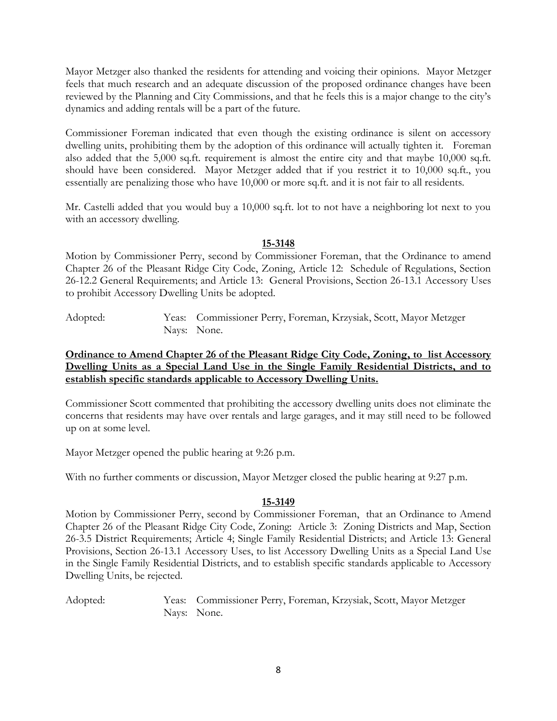Mayor Metzger also thanked the residents for attending and voicing their opinions. Mayor Metzger feels that much research and an adequate discussion of the proposed ordinance changes have been reviewed by the Planning and City Commissions, and that he feels this is a major change to the city's dynamics and adding rentals will be a part of the future.

Commissioner Foreman indicated that even though the existing ordinance is silent on accessory dwelling units, prohibiting them by the adoption of this ordinance will actually tighten it. Foreman also added that the 5,000 sq.ft. requirement is almost the entire city and that maybe 10,000 sq.ft. should have been considered. Mayor Metzger added that if you restrict it to 10,000 sq.ft., you essentially are penalizing those who have 10,000 or more sq.ft. and it is not fair to all residents.

Mr. Castelli added that you would buy a 10,000 sq.ft. lot to not have a neighboring lot next to you with an accessory dwelling.

## **15-3148**

Motion by Commissioner Perry, second by Commissioner Foreman, that the Ordinance to amend Chapter 26 of the Pleasant Ridge City Code, Zoning, Article 12: Schedule of Regulations, Section 26-12.2 General Requirements; and Article 13: General Provisions, Section 26-13.1 Accessory Uses to prohibit Accessory Dwelling Units be adopted.

Adopted: Yeas: Commissioner Perry, Foreman, Krzysiak, Scott, Mayor Metzger Nays: None.

# **Ordinance to Amend Chapter 26 of the Pleasant Ridge City Code, Zoning, to list Accessory Dwelling Units as a Special Land Use in the Single Family Residential Districts, and to establish specific standards applicable to Accessory Dwelling Units.**

Commissioner Scott commented that prohibiting the accessory dwelling units does not eliminate the concerns that residents may have over rentals and large garages, and it may still need to be followed up on at some level.

Mayor Metzger opened the public hearing at 9:26 p.m.

With no further comments or discussion, Mayor Metzger closed the public hearing at 9:27 p.m.

# **15-3149**

Motion by Commissioner Perry, second by Commissioner Foreman, that an Ordinance to Amend Chapter 26 of the Pleasant Ridge City Code, Zoning: Article 3: Zoning Districts and Map, Section 26-3.5 District Requirements; Article 4; Single Family Residential Districts; and Article 13: General Provisions, Section 26-13.1 Accessory Uses, to list Accessory Dwelling Units as a Special Land Use in the Single Family Residential Districts, and to establish specific standards applicable to Accessory Dwelling Units, be rejected.

Adopted: Yeas: Commissioner Perry, Foreman, Krzysiak, Scott, Mayor Metzger Nays: None.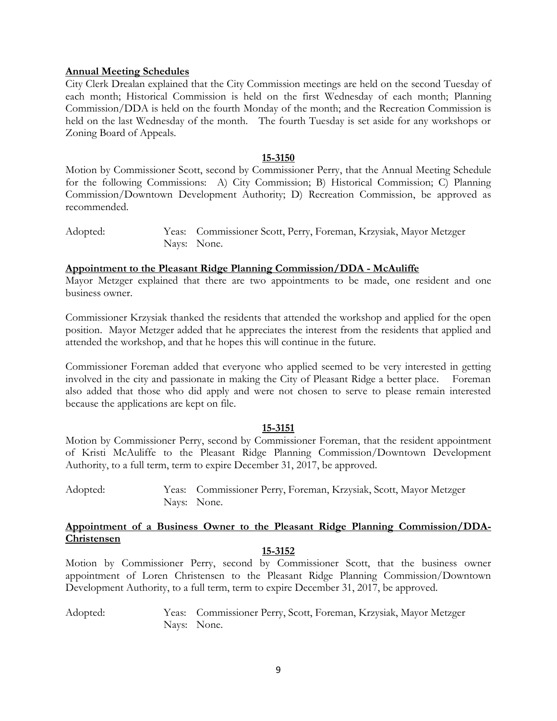#### **Annual Meeting Schedules**

City Clerk Drealan explained that the City Commission meetings are held on the second Tuesday of each month; Historical Commission is held on the first Wednesday of each month; Planning Commission/DDA is held on the fourth Monday of the month; and the Recreation Commission is held on the last Wednesday of the month. The fourth Tuesday is set aside for any workshops or Zoning Board of Appeals.

#### **15-3150**

Motion by Commissioner Scott, second by Commissioner Perry, that the Annual Meeting Schedule for the following Commissions: A) City Commission; B) Historical Commission; C) Planning Commission/Downtown Development Authority; D) Recreation Commission, be approved as recommended.

Adopted: Yeas: Commissioner Scott, Perry, Foreman, Krzysiak, Mayor Metzger Nays: None.

#### **Appointment to the Pleasant Ridge Planning Commission/DDA - McAuliffe**

Mayor Metzger explained that there are two appointments to be made, one resident and one business owner.

Commissioner Krzysiak thanked the residents that attended the workshop and applied for the open position. Mayor Metzger added that he appreciates the interest from the residents that applied and attended the workshop, and that he hopes this will continue in the future.

Commissioner Foreman added that everyone who applied seemed to be very interested in getting involved in the city and passionate in making the City of Pleasant Ridge a better place. Foreman also added that those who did apply and were not chosen to serve to please remain interested because the applications are kept on file.

#### **15-3151**

Motion by Commissioner Perry, second by Commissioner Foreman, that the resident appointment of Kristi McAuliffe to the Pleasant Ridge Planning Commission/Downtown Development Authority, to a full term, term to expire December 31, 2017, be approved.

Adopted: Yeas: Commissioner Perry, Foreman, Krzysiak, Scott, Mayor Metzger Nays: None.

### **Appointment of a Business Owner to the Pleasant Ridge Planning Commission/DDA-Christensen**

#### **15-3152**

Motion by Commissioner Perry, second by Commissioner Scott, that the business owner appointment of Loren Christensen to the Pleasant Ridge Planning Commission/Downtown Development Authority, to a full term, term to expire December 31, 2017, be approved.

Adopted: Yeas: Commissioner Perry, Scott, Foreman, Krzysiak, Mayor Metzger Nays: None.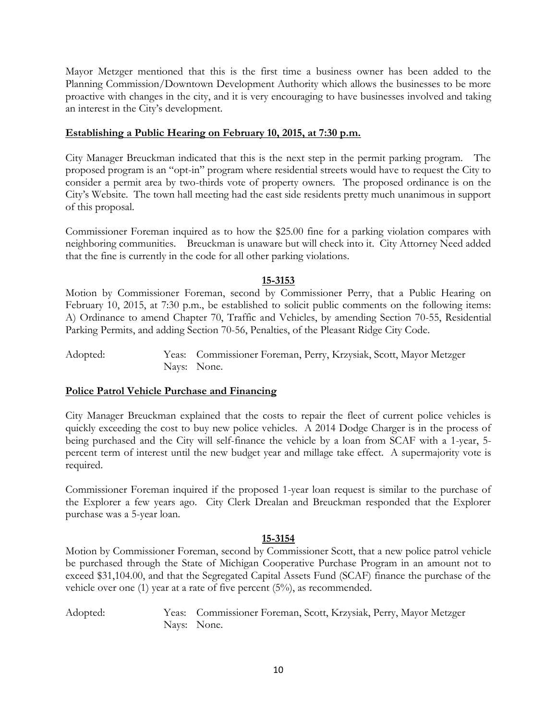Mayor Metzger mentioned that this is the first time a business owner has been added to the Planning Commission/Downtown Development Authority which allows the businesses to be more proactive with changes in the city, and it is very encouraging to have businesses involved and taking an interest in the City's development.

## **Establishing a Public Hearing on February 10, 2015, at 7:30 p.m.**

City Manager Breuckman indicated that this is the next step in the permit parking program. The proposed program is an "opt-in" program where residential streets would have to request the City to consider a permit area by two-thirds vote of property owners. The proposed ordinance is on the City's Website. The town hall meeting had the east side residents pretty much unanimous in support of this proposal.

Commissioner Foreman inquired as to how the \$25.00 fine for a parking violation compares with neighboring communities. Breuckman is unaware but will check into it. City Attorney Need added that the fine is currently in the code for all other parking violations.

## **15-3153**

Motion by Commissioner Foreman, second by Commissioner Perry, that a Public Hearing on February 10, 2015, at 7:30 p.m., be established to solicit public comments on the following items: A) Ordinance to amend Chapter 70, Traffic and Vehicles, by amending Section 70-55, Residential Parking Permits, and adding Section 70-56, Penalties, of the Pleasant Ridge City Code.

Adopted: Yeas: Commissioner Foreman, Perry, Krzysiak, Scott, Mayor Metzger Nays: None.

### **Police Patrol Vehicle Purchase and Financing**

City Manager Breuckman explained that the costs to repair the fleet of current police vehicles is quickly exceeding the cost to buy new police vehicles. A 2014 Dodge Charger is in the process of being purchased and the City will self-finance the vehicle by a loan from SCAF with a 1-year, 5 percent term of interest until the new budget year and millage take effect. A supermajority vote is required.

Commissioner Foreman inquired if the proposed 1-year loan request is similar to the purchase of the Explorer a few years ago. City Clerk Drealan and Breuckman responded that the Explorer purchase was a 5-year loan.

# **15-3154**

Motion by Commissioner Foreman, second by Commissioner Scott, that a new police patrol vehicle be purchased through the State of Michigan Cooperative Purchase Program in an amount not to exceed \$31,104.00, and that the Segregated Capital Assets Fund (SCAF) finance the purchase of the vehicle over one (1) year at a rate of five percent  $(5%)$ , as recommended.

Adopted: Yeas: Commissioner Foreman, Scott, Krzysiak, Perry, Mayor Metzger Nays: None.